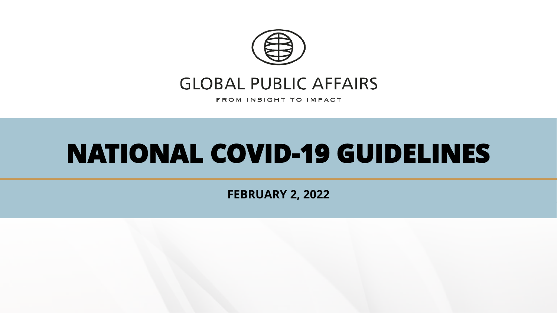

# **GLOBAL PUBLIC AFFAIRS**

FROM INSIGHT TO IMPACT

# **NATIONAL COVID-19 GUIDELINES**

**FEBRUARY 2, 2022**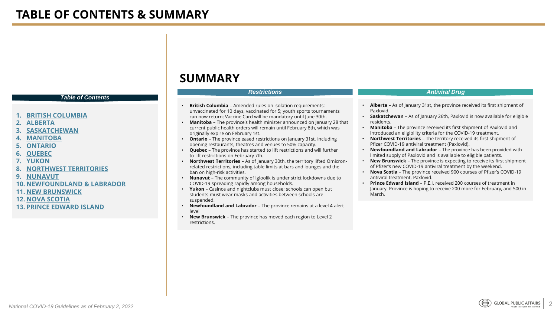#### *Table of Contents*

- **1. [BRITISH COLUMBIA](#page-2-0)**
- **2. [ALBERTA](#page-4-0)**
- **3. [SASKATCHEWAN](#page-6-0)**
- **4. [MANITOBA](#page-7-0)**
- **5. [ONTARIO](#page-9-0)**
- **6. [QUEBEC](#page-11-0)**
- **7. [YUKON](#page-12-0)**
- **8. [NORTHWEST TERRITORIES](#page-13-0)**
- **9. [NUNAVUT](#page-14-0)**
- **10. [NEWFOUNDLAND & LABRADOR](#page-16-0)**
- **11. [NEW BRUNSWICK](#page-18-0)**
- **12. [NOVA SCOTIA](#page-18-0)**
- **13. [PRINCE EDWARD ISLAND](#page-19-0)**

### **SUMMARY**

- **British Columbia**  Amended rules on isolation requirements: unvaccinated for 10 days, vaccinated for 5; youth sports tournaments can now return; Vaccine Card will be mandatory until June 30th.
- **Manitoba** The province's health minister announced on January 28 that current public health orders will remain until February 8th, which was originally expire on February 1st.
- **Ontario**  The province eased restrictions on January 31st, including opening restaurants, theatres and venues to 50% capacity.
- **Quebec**  The province has started to lift restrictions and will further to lift restrictions on February 7th.
- **Northwest Territories** As of January 30th, the territory lifted Omicronrelated restrictions, including table limits at bars and lounges and the ban on high-risk activities.
- **Nunavut** The community of Igloolik is under strict lockdowns due to COVID-19 spreading rapidly among households.
- **Yukon** Casinos and nightclubs must close; schools can open but students must wear masks and activities between schools are suspended.
- **Newfoundland and Labrador** The province remains at a level 4 alert level
- **New Brunswick**  The province has moved each region to Level 2 restrictions.

#### *Restrictions Antiviral Drug*

- **Alberta** As of January 31st, the province received its first shipment of Paxlovid.
- **Saskatchewan** As of January 26th, Paxlovid is now available for eligible residents.
- **Manitoba** The province received its first shipment of Paxlovid and introduced an eligibility criteria for the COVID-19 treatment.
- **Northwest Territories** The territory received its first shipment of Pfizer COVID-19 antiviral treatment (Paxlovid).
- **Newfoundland and Labrador**  The province has been provided with limited supply of Paxlovid and is available to eligible patients.
- **New Brunswick** The province is expecting to receive its first shipment of Pfizer's new COVID-19 antiviral treatment by the weekend.
- **Nova Scotia** The province received 900 courses of Pfizer's COVID-19 antiviral treatment, Paxlovid.
- **Prince Edward Island** P.E.I. received 200 courses of treatment in January. Province is hoping to receive 200 more for February, and 500 in March.

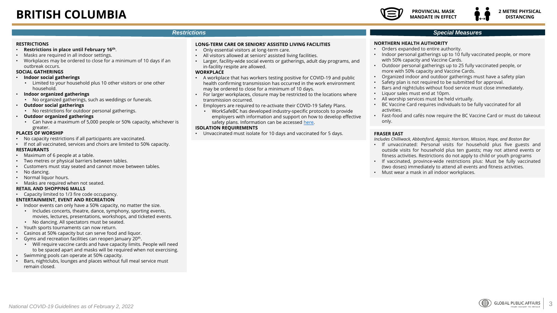#### <span id="page-2-0"></span>**RESTRICTIONS**

- **Restrictions in place until February 16th**.
- Masks are required in all indoor settings.
- Workplaces may be ordered to close for a minimum of 10 days if an outbreak occurs.

#### **SOCIAL GATHERINGS**

- **Indoor social gatherings**
	- Limited to your household plus 10 other visitors or one other household.
- **Indoor organized gatherings**
	- No organized gatherings, such as weddings or funerals.
- **Outdoor social gatherings**
	- No restrictions for outdoor personal gatherings.

#### • **Outdoor organized gatherings**

• Can have a maximum of 5,000 people or 50% capacity, whichever is greater.

#### **PLACES OF WORSHIP**

- No capacity restrictions if all participants are vaccinated.
- If not all vaccinated, services and choirs are limited to 50% capacity. **RESTAURANTS**
- Maximum of 6 people at a table.
- Two metres or physical barriers between tables.
- Customers must stay seated and cannot move between tables.
- No dancing.
- Normal liquor hours.
- Masks are required when not seated.

#### **RETAIL AND SHOPPING MALLS**

• Capacity limited to 1/3 fire code occupancy.

#### **ENTERTAINMENT, EVENT AND RECREATION**

- Indoor events can only have a 50% capacity, no matter the size.
	- Includes concerts, theatre, dance, symphony, sporting events, movies, lectures, presentations, workshops, and ticketed events.
	- No dancing. All spectators must be seated.
- Youth sports tournaments can now return.
- Casinos at 50% capacity but can serve food and liquor.
- Gyms and recreation facilities can reopen January 20<sup>th</sup>.
	- Will require vaccine cards and have capacity limits. People will need to be spaced apart and masks will be required when not exercising.
- Swimming pools can operate at 50% capacity.
- Bars, nightclubs, lounges and places without full meal service must remain closed.

#### **LONG-TERM CARE OR SENIORS' ASSISTED LIVING FACILITIES**

- Only essential visitors at long-term care.
- All visitors allowed at seniors' assisted living facilities.
- Larger, facility-wide social events or gatherings, adult day programs, and in-facility respite are allowed.

#### **WORKPLACE**

- A workplace that has workers testing positive for COVID-19 and public health confirming transmission has occurred in the work environment may be ordered to close for a minimum of 10 days.
- For larger workplaces, closure may be restricted to the locations where transmission occurred.
- Employers are required to re-activate their COVID-19 Safety Plans.
	- WorkSafeBC has developed industry-specific protocols to provide employers with information and support on how to develop effective safety plans. Information can be accessed [here.](https://www.worksafebc.com/en/covid-19/industry-specific-information)

#### **ISOLATION REQUIREMENTS**

• Unvaccinated must isolate for 10 days and vaccinated for 5 days.

### *Special Measures*

#### **NORTHERN HEALTH AUTHORITY**

- Orders expanded to entire authority.
- Indoor personal gatherings up to 10 fully vaccinated people, or more with 50% capacity and Vaccine Cards.
- Outdoor personal gatherings up to 25 fully vaccinated people, or more with 50% capacity and Vaccine Cards.
- Organized indoor and outdoor gatherings must have a safety plan
- Safety plan is not required to be submitted for approval.
- Bars and nightclubs without food service must close immediately.
- Liquor sales must end at 10pm.
- All worship services must be held virtually.
- BC Vaccine Card requires individuals to be fully vaccinated for all activities.
- Fast-food and cafés now require the BC Vaccine Card or must do takeout only.

#### **FRASER EAST**

*Includes Chilliwack, Abbotsford, Agassiz, Harrison, Mission, Hope, and Boston Bar*

- If unvaccinated: Personal visits for household plus five guests and outside visits for household plus ten guests; may not attend events or fitness activities. Restrictions do not apply to child or youth programs
- If vaccinated, province-wide restrictions plus: Must be fully vaccinated (two doses) immediately to attend all events and fitness activities.
- Must wear a mask in all indoor workplaces.

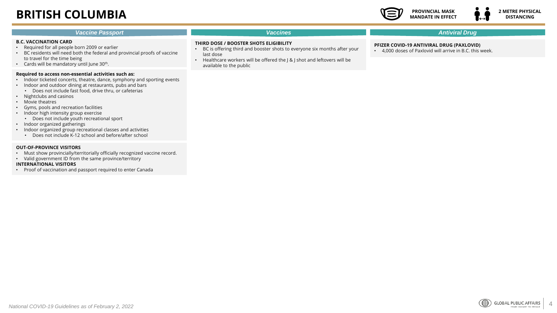# **BRITISH COLUMBIA**



| <b>Vaccine Passport</b>                                                                                                                                                                                                                                                                                                                   | <b>Vaccines</b>                                                                                                                                                                                                                       | <b>Antiviral Drug</b>                                                                               |
|-------------------------------------------------------------------------------------------------------------------------------------------------------------------------------------------------------------------------------------------------------------------------------------------------------------------------------------------|---------------------------------------------------------------------------------------------------------------------------------------------------------------------------------------------------------------------------------------|-----------------------------------------------------------------------------------------------------|
| <b>B.C. VACCINATION CARD</b><br>Required for all people born 2009 or earlier<br>BC residents will need both the federal and provincial proofs of vaccine<br>to travel for the time being<br>• Cards will be mandatory until June 30 <sup>th</sup> .                                                                                       | THIRD DOSE / BOOSTER SHOTS ELIGIBILITY<br>BC is offering third and booster shots to everyone six months after your<br>last dose<br>Healthcare workers will be offered the J & J shot and leftovers will be<br>available to the public | PFIZER COVID-19 ANTIVIRAL DRUG (PAXLOVID)<br>4,000 doses of Paxlovid will arrive in B.C. this week. |
| Required to access non-essential activities such as:<br>• Indoor ticketed concerts, theatre, dance, symphony and sporting events<br>Indoor and outdoor dining at restaurants, pubs and bars<br>Does not include fast food, drive thru, or cafeterias<br>Nightclubs and casinos<br>Movie theatres<br>Gyms, pools and recreation facilities |                                                                                                                                                                                                                                       |                                                                                                     |

- Indoor high intensity group exercise • Does not include youth recreational sport • Indoor organized gatherings
- Indoor organized group recreational classes and activities
- Does not include K-12 school and before/after school

#### **OUT-OF-PROVINCE VISITORS**

- Must show provincially/territorially officially recognized vaccine record.
- Valid government ID from the same province/territory

#### **INTERNATIONAL VISITORS**

• Proof of vaccination and passport required to enter Canada

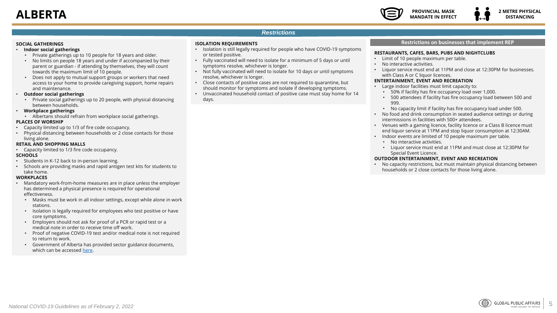#### **PROVINCIAL MASK MANDATE IN EFFECT**

#### *Restrictions*

#### <span id="page-4-0"></span>**SOCIAL GATHERINGS**

#### • **Indoor social gatherings**

- Private gatherings up to 10 people for 18 years and older.
- No limits on people 18 years and under if accompanied by their parent or guardian - if attending by themselves, they will count towards the maximum limit of 10 people.
- Does not apply to mutual support groups or workers that need access to your home to provide caregiving support, home repairs and maintenance.
- **Outdoor social gatherings**
	- Private social gatherings up to 20 people, with physical distancing between households.

#### • **Workplace gatherings**

- Albertans should refrain from workplace social gatherings. **PLACES OF WORSHIP**
- Capacity limited up to 1/3 of fire code occupancy.
- Physical distancing between households or 2 close contacts for those living alone.

#### **RETAIL AND SHOPPING MALLS**

• Capacity limited to 1/3 fire code occupancy.

#### **SCHOOLS**

- Students in K-12 back to in-person learning.
- Schools are providing masks and rapid antigen test kits for students to take home.

#### **WORKPLACES**

- Mandatory work-from-home measures are in place unless the employer has determined a physical presence is required for operational effectiveness.
	- Masks must be work in all indoor settings, except while alone in work stations.
	- Isolation is legally required for employees who test positive or have core symptoms.
	- Employers should not ask for proof of a PCR or rapid test or a medical note in order to receive time off work.
	- Proof of negative COVID-19 test and/or medical note is not required to return to work.
	- Government of Alberta has provided sector guidance documents, which can be accessed [here.](https://www.alberta.ca/guidance-documents.aspx)

#### **ISOLATION REQUIREMENTS**

- Isolation is still legally required for people who have COVID-19 symptoms or tested positive.
- Fully vaccinated will need to isolate for a minimum of 5 days or until symptoms resolve, whichever is longer.
- Not fully vaccinated will need to isolate for 10 days or until symptoms resolve, whichever is longer.
- Close contacts of positive cases are not required to quarantine, but should monitor for symptoms and isolate if developing symptoms.
- Unvaccinated household contact of positive case must stay home for 14 days.

#### **Restrictions on businesses that implement REP**

#### **RESTAURANTS, CAFES, BARS, PUBS AND NIGHTCLUBS**

- Limit of 10 people maximum per table.
- No interactive activities.
- Liquor service must end at 11PM and close at 12:30PM for businesses. with Class A or C liquor licences.

#### **ENTERTAINMENT, EVENT AND RECREATION**

- Large indoor facilities must limit capacity to:
	- 50% if facility has fire occupancy load over 1,000.
	- 500 attendees if facility has fire occupancy load between 500 and 999.
	- No capacity limit if facility has fire occupancy load under 500.
- No food and drink consumption in seated audience settings or during intermissions in facilities with 500+ attendees.
- Venues with a gaming licence, facility licence or a Class B licence must end liquor service at 11PM and stop liquor consumption at 12:30AM.
- Indoor events are limited of 10 people maximum per table.
- No interactive activities.
- Liquor service must end at 11PM and must close at 12:30PM for Special Event Licence.

#### **OUTDOOR ENTERTAINMENT, EVENT AND RECREATION**

• No capacity restrictions, but must maintain physical distancing between households or 2 close contacts for those living alone.

5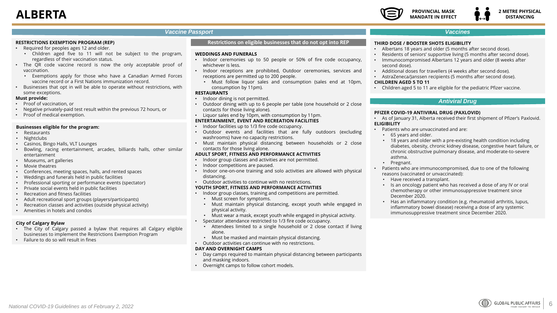

#### **2 METRE PHYSICAL DISTANCING**

#### *Vaccine Passport*

#### **RESTRICTIONS EXEMPTION PROGRAM (REP)**

- Required for peoples ages 12 and older.
	- Children aged five to 11 will not be subject to the program, regardless of their vaccination status.
- The QR code vaccine record is now the only acceptable proof of vaccination.
	- Exemptions apply for those who have a Canadian Armed Forces vaccine record or a First Nations immunization record.
- Businesses that opt in will be able to operate without restrictions, with some exceptions.

#### **Must provide:**

- Proof of vaccination, or
- Negative privately-paid test result within the previous 72 hours, or
- Proof of medical exemption.

#### **Businesses eligible for the program:**

- Restaurants
- Nightclubs
- Casinos, Bingo Halls, VLT Lounges
- Bowling, racing entertainment, arcades, billiards halls, other similar entertainment
- Museums, art galleries
- Movie theatres
- Conferences, meeting spaces, halls, and rented spaces
- Weddings and funerals held in public facilities
- Professional sporting or performance events (spectator)
- Private social events held in public facilities
- Recreation and fitness facilities
- Adult recreational sport groups (players/participants)
- Recreation classes and activities (outside physical activity)
- Amenities in hotels and condos

#### **City of Calgary Bylaw**

- The City of Calgary passed a bylaw that requires all Calgary eligible businesses to implement the Restrictions Exemption Program
- Failure to do so will result in fines

#### **Restrictions on eligible businesses that do not opt into REP**

#### **WEDDINGS AND FUNERALS**

- Indoor ceremonies up to 50 people or 50% of fire code occupancy, whichever is less.
- Indoor receptions are prohibited, Outdoor ceremonies, services and receptions are permitted up to 200 people.
	- Must follow liquor sales and consumption (sales end at 10pm, consumption by 11pm).

#### **RESTAURANTS**

- Indoor dining is not permitted.
- Outdoor dining with up to 6 people per table (one household or 2 close contacts for those living alone).
- Liquor sales end by 10pm, with consumption by 11pm.

#### **ENTERTAINMENT, EVENT AND RECREATION FACILITIES**

- Indoor facilities up to 1/3 fire code occupancy.
- Outdoor events and facilities that are fully outdoors (excluding washrooms) have no capacity restrictions.
- Must maintain physical distancing between households or 2 close contacts for those living alone.

#### **ADULT SPORT, FITNESS AND PERFORMANCE ACTIVITIES**

- Indoor group classes and activities are not permitted.
- Indoor competitions are paused.
- Indoor one-on-one training and solo activities are allowed with physical distancing.
- Outdoor activities to continue with no restrictions.

#### **YOUTH SPORT, FITNESS AND PERFORMANCE ACTIVITIES**

- Indoor group classes, training and competitions are permitted.
	- Must screen for symptoms.
	- Must maintain physical distancing, except youth while engaged in physical activity.
- Must wear a mask, except youth while engaged in physical activity.
- Spectator attendance restricted to 1/3 fire code occupancy.
- Attendees limited to a single household or 2 close contact if living alone.
- Must be masked and maintain physical distancing.
- Outdoor activities can continue with no restrictions.

#### **DAY AND OVERNIGHT CAMPS**

- Day camps required to maintain physical distancing between participants and masking indoors.
- Overnight camps to follow cohort models.

#### *Vaccines*

#### **THIRD DOSE / BOOSTER SHOTS ELIGIBILITY**

- Albertans 18 years and older (5 months after second dose).
- Residents of seniors' supportive living (5 months after second dose).
- Immunocompromised Albertans 12 years and older (8 weeks after second dose).
- Additional doses for travellers (4 weeks after second dose).

### • AstraZeneca/Janssen recipients (5 months after second dose).

#### **CHILDREN AGED 5 TO 11**

• Children aged 5 to 11 are eligible for the pediatric Pfizer vaccine.

#### *Antiviral Drug*

#### **PFIZER COVID-19 ANTIVIRAL DRUG (PAXLOVID)**

• As of January 31, Alberta received their first shipment of Pfizer's Paxlovid. **ELIGIBILITY**

- Patients who are unvaccinated and are:
	- 65 years and older.
	- 18 years and older with a pre-existing health condition including diabetes, obesity, chronic kidney disease, congestive heart failure, or chronic obstructive pulmonary disease, and moderate-to-severe asthma.
	- Pregnant.
- Patients who are immunocompromised, due to one of the following reasons (vaccinated or unvaccinated):
	- Have received a transplant.
	- Is an oncology patient who has received a dose of any IV or oral chemotherapy or other immunosuppressive treatment since December 2020.
	- Has an inflammatory condition (e.g. rheumatoid arthritis, lupus, inflammatory bowel disease) receiving a dose of any systemic immunosuppressive treatment since December 2020.

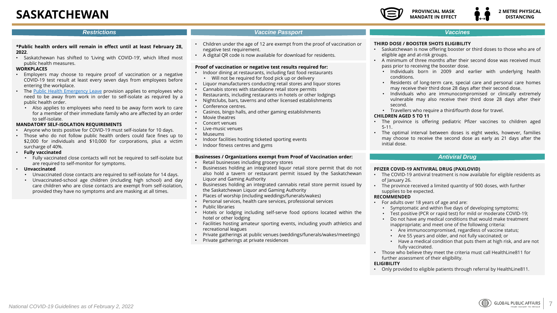# <span id="page-6-0"></span>**SASKATCHEWAN**



#### *Restrictions*

#### *Vaccine Passport Vaccines*

- **\*Public health orders will remain in effect until at least February 28, 2022**.
- Saskatchewan has shifted to 'Living with COVID-19', which lifted most public health measures.

#### **WORKPLACES**

- Employers may choose to require proof of vaccination or a negative COVID-19 test result at least every seven days from employees before entering the workplace.
- The Public Health [Emergency](https://www.saskatchewan.ca/business/employment-standards/job-protected-leaves/public-health-emergency-leave) Leave provision applies to employees who need to be away from work in order to self-isolate as required by a public health order.
- Also applies to employees who need to be away form work to care for a member of their immediate family who are affected by an order to self-isolate.

#### **MANDATORY SELF-ISOLATION REQUIREMENTS**

- Anyone who tests positive for COVID-19 must self-isolate for 10 days.
- Those who do not follow public health orders could face fines up to \$2,000 for individuals and \$10,000 for corporations, plus a victim surcharge of 40%.
- **Fully vaccinated**
	- Fully vaccinated close contacts will not be required to self-isolate but are required to self-monitor for symptoms.
- **Unvaccinated**
	- Unvaccinated close contacts are required to self-isolate for 14 days.
	- Unvaccinated-school age children (including high school) and day care children who are close contacts are exempt from self-isolation, provided they have no symptoms and are masking at all times.
- Children under the age of 12 are exempt from the proof of vaccination or negative test requirement.
- A digital QR code is now available for download for residents.

#### **Proof of vaccination or negative test results required for:**

- Indoor dining at restaurants, including fast food restaurants • Will not be required for food pick up or delivery
- Liquor manufacturers conducting retail stores and liquor stores
- Cannabis stores with standalone retail store permits
- Restaurants, including restaurants in hotels or other lodgings
- Nightclubs, bars, taverns and other licensed establishments
- Conference centres.
- Casinos, bingo halls, and other gaming establishments
- Movie theatres
- Concert venues
- Live-music venues
- Museums
- Indoor facilities hosting ticketed sporting events
- Indoor fitness centres and gyms

#### **Businesses / Organizations exempt from Proof of Vaccination order:**

- Retail businesses including grocery stores
- Businesses holding an integrated liquor retail store permit that do not also hold a tavern or restaurant permit issued by the Saskatchewan Liquor and Gaming Authority
- Businesses holding an integrated cannabis retail store permit issued by the Saskatchewan Liquor and Gaming Authority
- Places of worship (including weddings/funerals/wakes)
- Personal services, health care services, professional services
- Public libraries
- Hotels or lodging including self-serve food options located within the hotel or other lodging
- Facilities hosting amateur sporting events, including youth athletics and recreational leagues
- Private gatherings at public venues (weddings/funerals/wakes/meetings)
- Private gatherings at private residences

#### **THIRD DOSE / BOOSTER SHOTS ELIGIBILITY**

- Saskatchewan is now offering booster or third doses to those who are of eligible age and at-risk groups.
- A minimum of three months after their second dose was received must pass prior to receiving the booster dose.
	- Individuals born in 2009 and earlier with underlying health conditions.
	- Residents of long-term care, special care and personal care homes may receive their third dose 28 days after their second dose.
	- Individuals who are immunocompromised or clinically extremely vulnerable may also receive their third dose 28 days after their second.
	- Travellers who require a third/fourth dose for travel.

#### **CHILDREN AGED 5 TO 11**

- The province is offering pediatric Pfizer vaccines to children aged 5-11.
- The optimal interval between doses is eight weeks, however, families may choose to receive the second dose as early as 21 days after the initial dose.

#### *Antiviral Drug*

#### **PFIZER COVID-19 ANTIVIRAL DRUG (PAXLOVID)**

- The COVID-19 antiviral treatment is now available for eligible residents as of January 26.
- The province received a limited quantity of 900 doses, with further supplies to be expected.

#### **RECOMMENDED**

- For adults over 18 years of age and are:
	- Symptomatic and within five days of developing symptoms;
	- Test positive (PCR or rapid test) for mild or moderate COVID-19;
	- Do not have any medical conditions that would make treatment inappropriate; and meet one of the following criteria:
		- Are immunocompromised, regardless of vaccine status;
		- Are 55 years and older, and not fully vaccinated; or
		- Have a medical condition that puts them at high risk, and are not fully vaccinated.
- Those who believe they meet the criteria must call HealthLine811 for further assessment of their eligibility.

#### **ELIGIBILITY**

• Only provided to eligible patients through referral by HealthLine811.

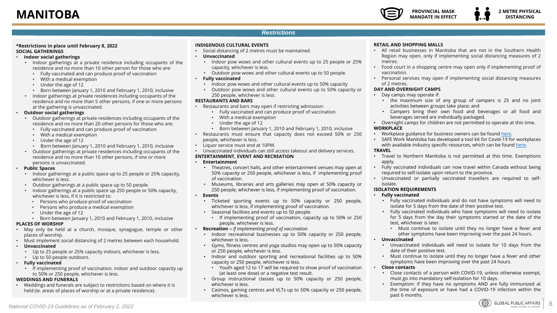#### <span id="page-7-0"></span>**\*Restrictions in place until February 8, 2022 SOCIAL GATHERINGS**

#### • **Indoor social gatherings**

- Indoor gatherings at a private residence including occupants of the residence and no more than 10 other person for those who are:
	- Fully vaccinated and can produce proof of vaccination
	- With a medical exemption
	- Under the age of 12
	- Born between January 1, 2010 and February 1, 2010, inclusive
- Indoor gatherings at private residences including occupants of the residence and no more than 5 other persons, if one or more persons at the gathering is unvaccinated.
- **Outdoor social gatherings**
	- Outdoor gatherings at private residences including occupants of the residence and no more than 20 other persons for those who are:
		- Fully vaccinated and can produce proof of vaccination
		- With a medical exemption
		- Under the age of 12
		- Born between January 1, 2010 and February 1, 2010, inclusive
	- Outdoor gatherings at private residences including occupants of the residence and no more than 10 other persons, if one or more persons is unvaccinated.

#### • **Public Spaces**

- Indoor gatherings at a public space up to 25 people or 25% capacity, whichever is less.
- Outdoor gatherings at a public space up to 50 people.
- Indoor gatherings at a public space up 250 people or 50% capacity, whichever is less, if it is restricted to:
	- Persons who produce proof of vaccination
	- Persons who produce a medical exemption
	- Under the age of 12
	- Born between January 1, 2010 and February 1, 2010, inclusive

#### **PLACES OF WORSHIP**

- May only be held at a church, mosque, synagogue, temple or other places of worship.
- Must implement social distancing of 2 metres between each household.
- **Unvaccinated**
	- Up to 25 people or 25% capacity indoors, whichever is less.
	- Up to 50 people outdoors.
- **Fully vaccinated**
	- If implementing proof of vaccination, indoor and outdoor capacity up to 50% or 250 people, whichever is less.

#### **WEDDINGS AND FUNERALS**

• Weddings and funerals are subject to restrictions based on where it is held (ie. areas of places of worship or at a private residence).

#### **INDIGENOUS CULTURAL EVENTS**

- Social distancing of 2 metres must be maintained.
- **Unvaccinated**
	- Indoor pow wows and other cultural events up to 25 people or 25% capacity, whichever is less.
	- Outdoor pow wows and other cultural events up to 50 people.
- **Fully vaccinated**
- Indoor pow wows and other cultural events up to 50% capacity
- Outdoor pow wows and other cultural events up to 50% capacity or 250 people, whichever is less.

#### **RESTAURANTS AND BARS**

- Restaurants and bars may open if restricting admission:
	- Fully vaccinated and can produce proof of vaccination
	- With a medical exemption
	- Under the age of 12
	- Born between January 1, 2010 and February 1, 2010, inclusive
- Restaurants must ensure that capacity does not exceed 50% or 250 people, whichever is less.
- Liquor service must end at 10PM.
- Unvaccinated individuals can still access takeout and delivery services.

#### **ENTERTAINMENT, EVENT AND RECREATION**

- **Entertainment**
	- Theatres, concert halls, and other entertainment venues may open at 50% capacity or 250 people, whichever is less, if implementing proof of vaccination.
	- Museums, libraries and arts galleries may open at 50% capacity or 250 people, whichever is less, if implementing proof of vaccination.
- **Events**
	- Ticketed sporting events up to 50% capacity or 250 people, whichever is less, if implementing proof of vaccination.
	- Seasonal facilities and events up to 50 people.
		- If implementing proof of vaccination, capacity up to 50% or 250 people, whichever is less.
- **Recreation –** *If implementing proof of vaccination*
- Indoor recreational businesses up to 50% capacity or 250 people, whichever is less.
- Gyms, fitness centres and yoga studios may open up to 50% capacity or 250 people, whichever is less.
- Indoor and outdoor sporting and recreational facilities up to 50% capacity or 250 people, whichever is less.
	- Youth aged 12 to 17 will be required to show proof of vaccination (at least one dose) or a negative test result.
- Group instructional classes up to 50% capacity or 250 people, whichever is less.
- Casinos, gaming centres and VLTs up to 50% capacity or 250 people, whichever is less.

#### **RETAIL AND SHOPPING MALLS**

- All retail businesses in Manitoba that are not in the Southern Health Region may open, only if implementing social distancing measures of 2 metres.
- Food court in a shopping centre may open only if implementing proof of vaccination.
- Personal services may open if implementing social distancing measures of 2 metres.

#### **DAY AND OVERNIGHT CAMPS**

- Day camps may operate if:
	- the maximum size of any group of campers is 25 and no joint activities between groups take place; and
	- Campers bring their own food and beverages or all food and beverages served are individually packaged.
- Overnight camps for children are not permitted to operate at this time. **WORKPLACE**
- Workplace guidance for business owners can be found [here](https://www.gov.mb.ca/covid19/resources/guidance.html#:~:text=Non%2DMedical%20Masks-,General%20Guidance,most%20important%20and%20effective%20measures.).
- SAFE Work Manitoba has developed a tool kit for Covid-19 for workplaces with available industry specific resources, which can be found [here](https://www.safemanitoba.com/COVID-19/Pages/Industry-specific-COVID-19-Information.aspx). **TRAVEL**
- Travel to Northern Manitoba is not permitted at this time. Exemptions apply.
- Fully vaccinated individuals can now travel within Canada without being required to self-isolate upon return to the province.
- Unvaccinated or partially vaccinated travellers are required to selfisolate.

#### **ISOLATION REQUIREMENTS**

#### • **Fully vaccinated**

- Fully vaccinated individuals and do not have symptoms will need to isolate for 5 days from the date of their positive test.
- Fully vaccinated individuals who have symptoms will need to isolate for 5 days from the day their symptoms started or the date of the test, whichever is later.
	- Must continue to isolate until they no longer have a fever and other symptoms have been improving over the past 24 hours.

#### • **Unvaccinated**

- Unvaccinated individuals will need to isolate for 10 days from the date of their positive test.
- Must continue to isolate until they no longer have a fever and other symptoms have been improving over the past 24 hours.

#### • **Close contacts**

- Close contacts of a person with COVID-19, unless otherwise exempt, must go into mandatory self-isolation for 10 days.
- Exemption: if they have no symptoms AND are fully immunized at the time of exposure or have had a COVID-19 infection within the past 6 months.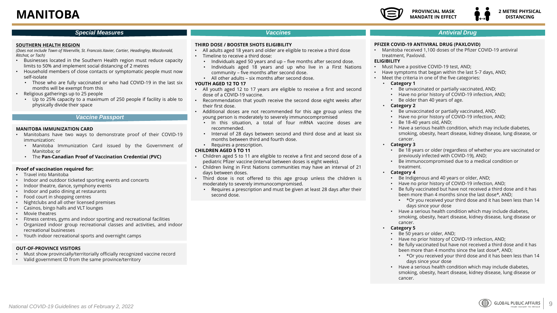### **MANITOBA**

#### **PROVINCIAL MASK MANDATE IN EFFECT 2 METRE PHYSICAL DISTANCING**

#### *Special Measures Antiviral Drug*

#### *Vaccines*

#### **SOUTHERN HEALTH REGION**

*(Does not include Town of Niverville, St. Francois Xavier, Cartier, Headingley, Macdonald, Ritchot, or Tach)*

- Businesses located in the Southern Health region must reduce capacity limits to 50% and implement social distancing of 2 metres
- Household members of close contacts or symptomatic people must now self-isolate
	- Those who are fully vaccinated or who had COVID-19 in the last six months will be exempt from this
- Religious gatherings up to 25 people
	- Up to 25% capacity to a maximum of 250 people if facility is able to physically divide their space

#### *Vaccine Passport*

#### **MANITOBA IMMUNIZATION CARD**

- Manitobans have two ways to demonstrate proof of their COVID-19 immunization:
	- Manitoba Immunization Card issued by the Government of Manitoba; or
	- The **Pan-Canadian Proof of Vaccination Credential (PVC)**

#### **Proof of vaccination required for:**

- Travel into Manitoba
- Indoor and outdoor ticketed sporting events and concerts
- Indoor theatre, dance, symphony events
- Indoor and patio dining at restaurants
- Food court in shopping centres
- Nightclubs and all other licensed premises
- Casinos, bingo halls and VLT lounges
- Movie theatres
- Fitness centres, gyms and indoor sporting and recreational facilities
- Organized indoor group recreational classes and activities, and indoor recreational businesses
- Youth indoor recreational sports and overnight camps

#### **OUT-OF-PROVINCE VISITORS**

- Must show provincially/territorially officially recognized vaccine record
- Valid government ID from the same province/territory

#### **THIRD DOSE / BOOSTER SHOTS ELIGIBILITY**

- All adults aged 18 years and older are eligible to receive a third dose
- Timeline to receive a third dose:
	- Individuals aged 50 years and up five months after second dose.
	- Individuals aged 18 years and up who live in a First Nations community – five months after second dose.
	- All other adults six months after second dose.

#### **YOUTH AGED 12 TO 17**

- All youth aged 12 to 17 years are eligible to receive a first and second dose of a COVID-19 vaccine.
- Recommendation that youth receive the second dose eight weeks after their first dose.
- Additional doses are not recommended for this age group unless the young person is moderately to severely immunocompromised
	- In this situation, a total of four mRNA vaccine doses are recommended.
	- Interval of 28 days between second and third dose and at least six months between third and fourth dose.
	- Requires a prescription.

#### **CHILDREN AGED 5 TO 11**

- Children aged 5 to 11 are eligible to receive a first and second dose of a pediatric Pfizer vaccine (interval between doses is eight weeks).
- Children living in First Nations communities may have an interval of 21 days between doses.
- Third dose is not offered to this age group unless the children is moderately to severely immunocompromised.
	- Requires a prescription and must be given at least 28 days after their second dose.

#### **PFIZER COVID-19 ANTIVIRAL DRUG (PAXLOVID)**

• Manitoba received 1,100 doses of the Pfizer COVID-19 antiviral treatment, Paxlovid.

#### **ELIGIBILITY**

- Must have a positive COVID-19 test, AND;
- Have symptoms that began within the last 5-7 days, AND;
- Meet the criteria in one of the five categories:

#### • **Category 1**

- Be unvaccinated or partially vaccinated, AND;
- Have no prior history of COVID-19 infection, AND;
- Be older than 40 years of age.

#### • **Category 2**

- Be unvaccinated or partially vaccinated, AND;
- Have no prior history of COVID-19 infection, AND;
- Be 18-40 years old, AND;
- Have a serious health condition, which may include diabetes, smoking, obesity, heart disease, kidney disease, lung disease, or cancer.

#### • **Category 3**

- Be 18 years or older (regardless of whether you are vaccinated or previously infected with COVID-19), AND;
- Be immunocompromised due to a medical condition or treatment.
- **Category 4**
	- Be Indigenous and 40 years or older, AND;
	- Have no prior history of COVID-19 infection, AND;
	- Be fully vaccinated but have not received a third dose and it has been more than 4 months since the last dose\*, AND;
		- \*Or you received your third dose and it has been less than 14 days since your dose
	- Have a serious health condition which may include diabetes, smoking, obesity, heart disease, kidney disease, lung disease or cancer.

#### • **Category 5**

- Be 50 years or older, AND;
- Have no prior history of COVID-19 infection, AND;
- Be fully vaccinated but have not received a third dose and it has been more than 4 months since the last dose\*, AND;
	- \*Or you received your third dose and it has been less than 14 days since your dose
- Have a serious health condition which may include diabetes, smoking, obesity, heart disease, kidney disease, lung disease or cancer.

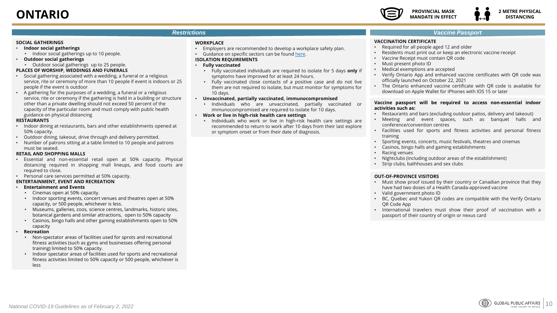

#### <span id="page-9-0"></span>**SOCIAL GATHERINGS**

- **Indoor social gatherings**
- Indoor social gatherings up to 10 people.
- **Outdoor social gatherings**
- Outdoor social gatherings up to 25 people.
- **PLACES OF WORSHIP, WEDDINGS AND FUNERALS**
- Social gathering associated with a wedding, a funeral or a religious service, rite or ceremony of more than 10 people if event is indoors or 25 people if the event is outdoor
- A gathering for the purposes of a wedding, a funeral or a religious service, rite or ceremony if the gathering is held in a building or structure other than a private dwelling should not exceed 50 percent of the capacity of the particular room and must comply with public health guidance on physical distancing

#### **RESTAURANTS**

- Indoor dining at restaurants, bars and other establishments opened at 50% capacity.
- Outdoor dining, takeout, drive through and delivery permitted.
- Number of patrons sitting at a table limited to 10 people and patrons must be seated.

#### **RETAIL AND SHOPPING MALLS**

- Essential and non-essential retail open at 50% capacity. Physical distancing required in shopping mall lineups, and food courts are required to close.
- Personal care services permitted at 50% capacity.

#### **ENTERTAINMENT, EVENT AND RECREATION**

#### • **Entertainment and Events**

- Cinemas open at 50% capacity.
- Indoor sporting events, concert venues and theatres open at 50% capacity, or 500 people, whichever is less.
- Museums, galleries, zoos, science centres, landmarks, historic sites, botanical gardens and similar attractions, open to 50% capacity
- Casinos, bingo halls and other gaming establishments open to 50% capacity
- **Recreation**
	- Non-spectator areas of facilities used for sprots and recreational fitness activities (such as gyms and businesses offering personal training) limited to 50% capacity.
	- Indoor spectator areas of facilities used for sports and recreational fitness activities limited to 50% capacity or 500 people, whichever is less

#### **WORKPLACE**

- Employers are recommended to develop a workplace safety plan.
- Guidance on specific sectors can be found [here](https://www.ontario.ca/page/covid-19-workplace-health-safety#section-2).

#### **ISOLATION REQUIREMENTS**

#### • **Fully vaccinated**

- Fully vaccinated individuals are required to isolate for 5 days **only** if symptoms have improved for at least 24 hours.
- Fully vaccinated close contacts of a positive case and do not live them are not required to isolate, but must monitor for symptoms for 10 days.

#### • **Unvaccinated, partially vaccinated, immunocompromised**

• Individuals who are unvaccinated, partially vaccinated or immunocompromised are required to isolate for 10 days.

#### • **Work or live in high-risk health care settings**

• Individuals who work or live in high-risk health care settings are recommended to return to work after 10 days from their last explore or symptom onset or from their date of diagnosis.

#### *Vaccine Passport*

#### **VACCINATION CERTIFICATE**

- Required for all people aged 12 and older
- Residents must print out or keep an electronic vaccine receipt
- Vaccine Receipt must contain QR code
- Must present photo ID
- Medical exemptions are accepted
- Verify Ontario App and enhanced vaccine certificates with QR code was officially launched on October 22, 2021
- The Ontario enhanced vaccine certificate with QR code is available for download on Apple Wallet for iPhones with IOS 15 or later

#### **Vaccine passport will be required to access non-essential indoor activities such as:**

- Restaurants and bars (excluding outdoor patios, delivery and takeout)
- Meeting and event spaces, such as banquet halls and conference/convention centres
- Facilities used for sports and fitness activities and personal fitness training
- Sporting events, concerts, music festivals, theatres and cinemas
- Casinos, bingo halls and gaming establishments
- Racing venues
- Nightclubs (including outdoor areas of the establishment)
- Strip clubs, bathhouses and sex clubs

#### **OUT-OF-PROVINCE VISITORS**

- Must show proof issued by their country or Canadian province that they have had two doses of a Health Canada-approved vaccine
- Valid government photo ID
- BC, Quebec and Yukon QR codes are compatible with the Verify Ontario QR Code App
- International travelers must show their proof of vaccination with a passport of their country of origin or nexus card

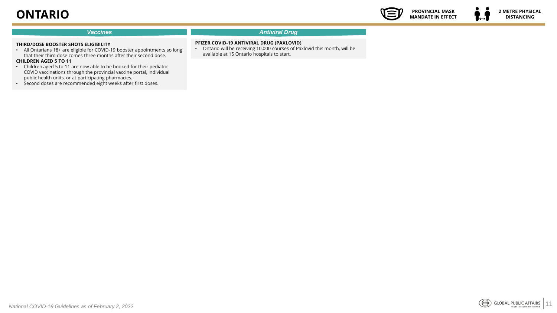### **ONTARIO**



 $\leftrightarrow$ 

#### *Vaccines Antiviral Drug*

#### **THIRD/DOSE BOOSTER SHOTS ELIGIBILITY**

- All Ontarians 18+ are eligible for COVID-19 booster appointments so long that their third dose comes three months after their second dose. **CHILDREN AGED 5 TO 11**
- Children aged 5 to 11 are now able to be booked for their pediatric COVID vaccinations through the provincial vaccine portal, individual public health units, or at participating pharmacies.
- Second doses are recommended eight weeks after first doses.

#### **PFIZER COVID-19 ANTIVIRAL DRUG (PAXLOVID)**

• Ontario will be receiving 10,000 courses of Paxlovid this month, will be available at 15 Ontario hospitals to start.

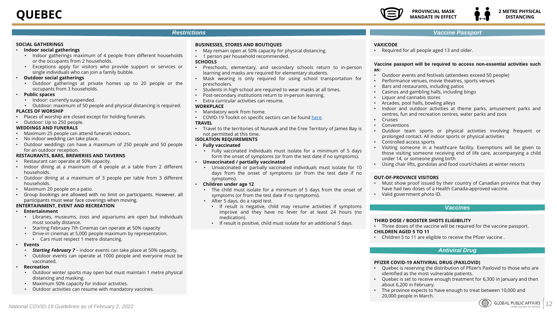#### <span id="page-11-0"></span>**SOCIAL GATHERINGS**

#### • **Indoor social gatherings**

- Indoor gatherings maximum of 4 people from different households or the occupants from 2 households.
- Exceptions apply for visitors who provide support or services or single individuals who can join a family bubble.

#### • **Outdoor social gatherings**

- Outdoor gatherings at private homes up to 20 people or the occupants from 3 households.
- **Public spaces**
	- Indoor: currently suspended.
	- Outdoor: maximum of 50 people and physical distancing is required.

#### **PLACES OF WORSHIP**

• Places of worship are closed except for holding funerals.

#### • Outdoor: Up to 250 people.

- **WEDDINGS AND FUNERALS**
- Maximum 25 people can attend funerals indoors.
- No indoor wedding can take place.
- Outdoor weddings can have a maximum of 250 people and 50 people for an outdoor reception.

#### **RESTAURANTS, BARS, BREWERIES AND TAVERNS**

- Restaurant can operate at 50% capacity.
- Indoor dining at a maximum of 4 people at a table from 2 different households.
- Outdoor dining at a maximum of 3 people per table from 3 different households.
- Maximum 20 people on a patio.
- Group bookings are allowed with no limit on participants. However, all participants must wear face coverings when moving.

#### **ENTERTAINMENT, EVENT AND RECREATION**

- **Entertainment**
	- Libraries, museums, zoos and aquariums are open but individuals must socially distance.
	- Starting February 7th Cinemas can operate at 50% capacity
	- Drive-in cinemas at 5,000 people maximum by representation.
		- Cars must respect 1 metre distancing.
- **Events**
	- *Starting February 7* indoor events can take place at 50% capacity.
	- Outdoor events can operate at 1000 people and everyone must be vaccinated.
- **Recreation**
	- Outdoor winter sports may open but must maintain 1 metre physical distancing and masking.
	- Maximum 50% capacity for indoor activities.
	- Outdoor activities can resume with mandatory vaccines.

#### **BUSINESSES, STORES AND BOUTIQUES**

- May remain open at 50% capacity for physical distancing.
- 1 person per household recommended.

#### **SCHOOLS**

- Preschools, elementary, and secondary schools return to in-person learning and masks are required for elementary students.
- Mask wearing is only required for using school transportation for preschoolers.
- Students in high school are required to wear masks at all times.
- Post-secondary institutions return to in-person learning.
- Extra curricular activities can resume.

#### **WORKPLACE**

- Mandatory work from home.
- COVID-19 Toolkit on specific sectors can be found [here](https://www.cnesst.gouv.qc.ca/en/prevention-and-safety/covid-19/covid-19-toolkit).

#### **TRAVEL**

• Travel to the territories of Nunavik and the Cree Territory of James Bay is not permitted at this time.

#### **ISOLATION REQUIREMENTS**

- **Fully vaccinated**
	- Fully vaccinated individuals must isolate for a minimum of 5 days form the onset of symptoms (or from the test date if no symptoms).

#### • **Unvaccinated / partially vaccinated**

- Unvaccinated or partially vaccinated individuals must isolate for 10 days from the onset of symptoms (or from the test date if no symptoms).
- **Children under age 12**
	- The child must isolate for a minimum of 5 days from the onset of symptoms (or from the test date if no symptoms).
	- After 5 days, do a rapid test.
		- If result is negative, child may resume activities if symptoms improve and they have no fever for at least 24 hours (no medication).
		- If result is positive, child must isolate for an additional 5 days.

#### *Vaccine Passport*

#### **VAXICODE**

• Required for all people aged 13 and older.

#### **Vaccine passport will be required to access non-essential activities such as:**

- Outdoor events and festivals (attendees exceed 50 people)
- Performance venues, movie theatres, sports venues
- Bars and restaurants, including patios
- Casinos and gambling halls, including bingo
- Liquor and cannabis stores
- Arcades, pool halls, bowling alleys
- Indoor and outdoor activities at theme parks, amusement parks and centres, fun and recreation centres, water parks and zoos
- Cruises
- **Conventions**
- Outdoor team sports or physical activities involving frequent or prolonged contact. All indoor sports or physical activities
- Controlled access sports
- Visiting someone in a healthcare facility. Exemptions will be given to those visiting someone receiving end of life care, accompanying a child under 14, or someone giving birth
- Using chair lifts, gondolas and food court/chalets at winter resorts

#### **OUT-OF-PROVINCE VISITORS**

- Must show proof issued by their country of Canadian province that they have had two doses of a Health Canada-approved vaccine.
- Valid government photo ID.

#### *Vaccines*

#### **THIRD DOSE / BOOSTER SHOTS ELIGIBILITY**

- Three doses of the vaccine will be required for the vaccine passport. **CHILDREN AGED 5 TO 11**
- Children 5 to 11 are eligible to receive the Pfizer vaccine .

#### *Antiviral Drug*

#### **PFIZER COVID-19 ANTIVIRAL DRUG (PAXLOVID)**

- Quebec is reserving the distribution of Pfizer's Paxlovid to those who are identified as the most vulnerable patients.
- Quebec is set to receive enough treatment for 6,300 in January and then about 6,200 in February.
- The province expects to have enough to treat between 10,000 and 20,000 people in March.

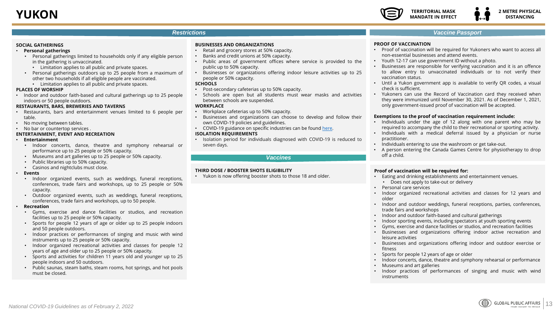#### <span id="page-12-0"></span>**SOCIAL GATHERINGS**

- **Personal gatherings**
	- Personal gatherings limited to households only if any eligible person in the gathering is unvaccinated.
		- Limitation applies to all public and private spaces.
	- Personal gatherings outdoors up to 25 people from a maximum of other two households if all eligible people are vaccinated.
		- Limitation applies to all public and private spaces.

#### **PLACES OF WORSHIP**

• Indoor and outdoor faith-based and cultural gatherings up to 25 people indoors or 50 people outdoors.

#### **RESTAURANTS, BARS, BREWERIES AND TAVERNS**

- Restaurants, bars and entertainment venues limited to 6 people per table.
- No moving between tables.
- No bar or countertop services .

#### **ENTERTAINMENT, EVENT AND RECREATION**

- **Entertainment**
	- Indoor concerts, dance, theatre and symphony rehearsal or performance up to 25 people or 50% capacity.
	- Museums and art galleries up to 25 people or 50% capacity.
	- Public libraries up to 50% capacity.
	- Casinos and nightclubs must close.
- **Events**
	- Indoor organized events, such as weddings, funeral receptions, conferences, trade fairs and workshops, up to 25 people or 50% capacity.
	- Outdoor organized events, such as weddings, funeral receptions, conferences, trade fairs and workshops, up to 50 people.

#### • **Recreation**

- Gyms, exercise and dance facilities or studios, and recreation facilities up to 25 people or 50% capacity.
- Sports for people 12 years of age or older up to 25 people indoors and 50 people outdoors.
- Indoor practices or performances of singing and music with wind instruments up to 25 people or 50% capacity.
- Indoor organized recreational activities and classes for people 12 years of age and older up to 25 people or 50% capacity.
- Sports and activities for children 11 years old and younger up to 25 people indoors and 50 outdoors.
- Public saunas, steam baths, steam rooms, hot springs, and hot pools must be closed.

#### **BUSINESSES AND ORGANIZATIONS**

- Retail and grocery stores at 50% capacity.
- Banks and credit unions at 50% capacity.
- Public areas of government offices where service is provided to the public up to 50% capacity.
- Businesses or organizations offering indoor leisure activities up to 25 people or 50% capacity.

#### **SCHOOLS**

- Post-secondary cafeterias up to 50% capacity.
- Schools are open but all students must wear masks and activities between schools are suspended.

#### **WORKPLACE**

- Workplace cafeterias up to 50% capacity.
- Businesses and organizations can choose to develop and follow their own COVID-19 policies and guidelines.
- COVID-19 guidance on specific industries can be found [here.](https://yukon.ca/en/industry-operating-guidelines-covid-19)

#### **ISOLATION REQUIREMENTS**

• Isolation period for individuals diagnosed with COVID-19 is reduced to seven days.

*Vaccines*

#### **THIRD DOSE / BOOSTER SHOTS ELIGIBILITY**

• Yukon is now offering booster shots to those 18 and older.

#### *Vaccine Passport*

#### **PROOF OF VACCINATION**

- Proof of vaccination will be required for Yukoners who want to access all non-essential businesses and attend events.
- Youth 12-17 can use government ID without a photo.
- Businesses are responsible for verifying vaccination and it is an offence to allow entry to unvaccinated individuals or to not verify their vaccination status.
- Until a Yukon government app is available to verify QR codes, a visual check is sufficient.
- Yukoners can use the Record of Vaccination card they received when they were immunized until November 30, 2021. As of December 1, 2021, only government-issued proof of vaccination will be accepted.

#### **Exemptions to the proof of vaccination requirement include:**

- Individuals under the age of 12 along with one parent who may be required to accompany the child to their recreational or sporting activity.
- Individuals with a medical deferral issued by a physician or nurse practitioner.
- Individuals entering to use the washroom or get take-out.
- A person entering the Canada Games Centre for physiotherapy to drop off a child.

#### **Proof of vaccination will be required for:**

- Eating and drinking establishments and entertainment venues. • Does not apply to take-out or delivery
- Personal care services
- Indoor organized recreational activities and classes for 12 years and older
- Indoor and outdoor weddings, funeral receptions, parties, conferences, trade fairs and workshops
- Indoor and outdoor faith-based and cultural gatherings
- Indoor sporting events, including spectators at youth sporting events
- Gyms, exercise and dance facilities or studios, and recreation facilities
- Businesses and organizations offering indoor active recreation and leisure activities
- Businesses and organizations offering indoor and outdoor exercise or fitness
- Sports for people 12 years of age or older
- Indoor concerts, dance, theatre and symphony rehearsal or performance
- Museums and art galleries
- Indoor practices of performances of singing and music with wind instruments

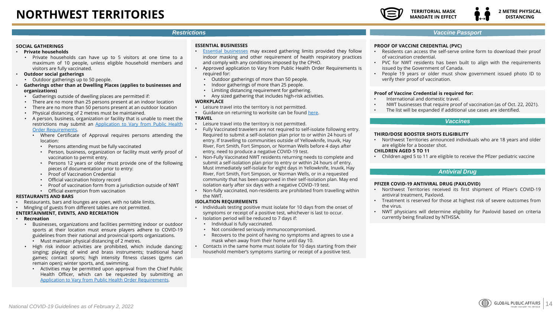#### <span id="page-13-0"></span>**SOCIAL GATHERINGS**

- **Private households**
	- Private households can have up to 5 visitors at one time to a maximum of 10 people, unless eligible household members and visitors are fully vaccinated.
- **Outdoor social gatherings**
	- Outdoor gatherings up to 50 people.
- **Gatherings other than at Dwelling Places (applies to businesses and organizations)**
	- Gatherings outside of dwelling places are permitted if:
	- There are no more than 25 persons present at an indoor location
	- There are no more than 50 persons present at an outdoor location
	- Physical distancing of 2 metres must be maintained.
	- A person, business, organization or facility that is unable to meet the restrictions may submit an Application to Vary from Public Health

#### Order [Requirements.](https://app.smartsheet.com/b/form/5f1b124d2c6f44038e38d2bdf83fb11b)

- Where Certificate of Approval requires persons attending the location:
	- Persons attending must be fully vaccinated
	- Person, business, organization or facility must verify proof of vaccination to permit entry.
	- Persons 12 years or older must provide one of the following pieces of documentation prior to entry:
	- Proof of Vaccination Credential
	- Official vaccination history record
	- Proof of vaccination form from a jurisdiction outside of NWT
	- Official exemption from vaccination

#### **RESTAURANTS AND BARS**

• Restaurants, bars and lounges are open, with no table limits.

#### • Mingling of guests from different tables are not permitted.

#### **ENTERTAINMENT, EVENTS, AND RECREATION**

- **Recreation**
	- Businesses, organizations and facilities permitting indoor or outdoor sports at their location must ensure players adhere to COVID-19 guidelines from their national and provincial sports organizations. • Must maintain physical distancing of 2 metres.
	- High risk indoor activities are prohibited, which include dancing; singing; playing of wind and brass instruments; traditional hand games; contact sports; high intensity fitness classes (gyms can remain open); winter sports, and, swimming.
		- Activities may be permitted upon approval from the Chief Public Health Officer, which can be requested by submitting an Application to Vary from Public Health Order [Requirements.](https://app.smartsheet.com/b/form/5f1b124d2c6f44038e38d2bdf83fb11b)

#### **ESSENTIAL BUSINESSES**

- Essential [businesses](https://www.gov.nt.ca/covid-19/en/what-are-essential-businesses) may exceed gathering limits provided they follow indoor masking and other requirement of health respiratory practices and comply with any conditions imposed by the CPHO.
- Approved application to Vary from Public Health Order Requirements is required for:
	- Outdoor gatherings of more than 50 people.
	- Indoor gatherings of more than 25 people.
	- Limiting distancing requirement for gathering.
	- Any sized gathering that includes high-risk activities.

#### **WORKPLACE**

- Leisure travel into the territory is not permitted.
- Guidance on returning to worksite can be found [here](https://my.hr.gov.nt.ca/covid-19/returning-worksite-gnwt-approach).

#### **TRAVEL**

- Leisure travel into the territory is not permitted.
- Fully Vaccinated travelers are not required to self-isolate following entry. Required to submit a self-isolation plan prior to or within 24 hours of entry. If travelling to communities outside of Yellowknife, Inuvik, Hay River, Fort Smith, Fort Simpson, or Norman Wells before 4 days after entry, need to produce a negative COVID-19 test.
- Non-Fully Vaccinated NWT residents returning needs to complete and submit a self-isolation plan prior to entry or within 24 hours of entry. Must immediately self-isolate for eight days in Yellowknife, Inuvik, Hay River, Fort Smith, Fort Simpson, or Norman Wells, or in a requested community that has been approved in their self-isolation plan. May end isolation early after six days with a negative COVID-19 test.
- Non-fully vaccinated, non-residents are prohibited from travelling within the NWT.

#### **ISOLATION REQUIREMENTS**

- Individuals testing positive must isolate for 10 days from the onset of symptoms or receipt of a positive test, whichever is last to occur.
- Isolation period will be reduced to 7 days if:
	- Individual is fully vaccinated.
	- Not considered seriously immunocompromised.
	- Recovers to the point of having no symptoms and agrees to use a mask when away from their home until day 10.
- Contacts in the same home must isolate for 10 days starting from their household member's symptoms starting or receipt of a positive test.

### *Vaccine Passport*

#### **PROOF OF VACCINE CREDENTIAL (PVC)**

- Residents can access the self-serve online form to download their proof of vaccination credential.
- PVC for NWT residents has been built to align with the requirements issued by the Government of Canada.
- People 19 years or older must show government issued photo ID to verify their proof of vaccination.

#### **Proof of Vaccine Credential is required for:**

- International and domestic travel.
- NWT businesses that require proof of vaccination (as of Oct. 22, 2021).
- The list will be expanded if additional use cases are identified.

#### *Vaccines*

#### **THIRD/DOSE BOOSTER SHOTS ELIGIBILITY**

• Northwest Territories announced individuals who are 18 years and older are eligible for a booster shot.

#### **CHILDREN AGED 5 TO 11**

• Children aged 5 to 11 are eligible to receive the Pfizer pediatric vaccine

#### *Antiviral Drug*

#### **PFIZER COVID-19 ANTIVIRAL DRUG (PAXLOVID)**

- Northwest Territories received its first shipment of Pfizer's COVID-19 antiviral treatment, Paxlovid.
- Treatment is reserved for those at highest risk of severe outcomes from the virus.
- NWT physicians will determine eligibility for Paxlovid based on criteria currently being finalized by NTHSSA.

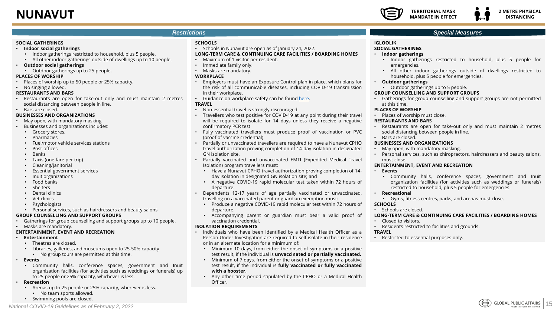### <span id="page-14-0"></span>**NUNAVUT**



#### *Restrictions*

#### **SOCIAL GATHERINGS**

- **Indoor social gatherings**
	- Indoor gatherings restricted to household, plus 5 people.
	- All other indoor gatherings outside of dwellings up to 10 people.
- **Outdoor social gatherings**
- Outdoor gatherings up to 25 people.

#### **PLACES OF WORSHIP**

- Places of worship up to 50 people or 25% capacity.
- No singing allowed.

#### **RESTAURANTS AND BARS**

- Restaurants are open for take-out only and must maintain 2 metres social distancing between people in line.
- Bars are closed. **BUSINESSES AND ORGANIZATIONS**
- May open, with mandatory masking
- Businesses and organizations includes:
	- Grocery stores.
	- Pharmacies
	- Fuel/motor vehicle services stations
	- Post-offices
	- Banks
	- Taxis (one fare per trip)
	- Cleaning/janitorial
	- Essential government services
	- Inuit organizations
	- Food banks
	- **Shelters**
	- Dental clinics
	- Vet clinics
	- **Psychologists**
	- Personal services, such as hairdressers and beauty salons

#### **GROUP COUNSELLING AND SUPPORT GROUPS**

- Gatherings for group counselling and support groups up to 10 people.
- Masks are mandatory.

#### **ENTERTAINMENT, EVENT AND RECREATION**

- **Entertainment**
	- Theatres are closed.
	- Libraries, galleries, and museums open to 25-50% capacity
	- No group tours are permitted at this time.
- **Events**
	- Community halls, conference spaces, government and Inuit organization facilities (for activities such as weddings or funerals) up to 25 people or 25% capacity, whichever is less.
- **Recreation**
	- Arenas up to 25 people or 25% capacity, wherever is less.
		- No team sports allowed.

*National COVID-19 Guidelines as of February 2, 2022*

• Swimming pools are closed.

#### **SCHOOLS**

• Schools in Nunavut are open as of January 24, 2022.

#### **LONG-TERM CARE & CONTINUING CARE FACILITIES / BOARDING HOMES**

- Maximum of 1 visitor per resident.
- Immediate family only.
- Masks are mandatory.

#### **WORKPLACE**

- Employers must have an Exposure Control plan in place, which plans for the risk of all communicable diseases, including COVID-19 transmission in their workplace.
- Guidance on workplace safety can be found [here](https://www.wscc.nt.ca/health-safety/covid-19/forms).

#### **TRAVEL**

- Non-essential travel is strongly discouraged.
- Travellers who test positive for COVID-19 at any point during their travel will be required to isolate for 14 days unless they receive a negative confirmatory PCR test
- Fully vaccinated travellers must produce proof of vaccination or PVC (proof of vaccine credential).
- Partially or unvaccinated travellers are required to have a Nunavut CPHO travel authorization proving completion of 14-day isolation in designated GN isolation site.
- Partially vaccinated and unvaccinated EMTI (Expedited Medical Travel Isolation) program travellers must:
	- Have a Nunavut CPHO travel authorization proving completion of 14 day isolation in designated GN isolation site; and
	- A negative COVID-19 rapid molecular test taken within 72 hours of departure.
- Dependents 12-17 years of age partially vaccinated or unvaccinated, travelling on a vaccinated parent or guardian exemption must:
	- Produce a negative COVID-19 rapid molecular test within 72 hours of departure.
	- Accompanying parent or guardian must bear a valid proof of vaccination credential.

#### **ISOLATION REQUIREMENTS**

- Individuals who have been identified by a Medical Health Officer as a Person Under Investigation are required to self-isolate in their residence or in an alternate location for a minimum of:
	- Minimum 10 days, from either the onset of symptoms or a positive test result, if the individual is **unvaccinated or partially vaccinated.**
	- Minimum of 7 days, from either the onset of symptoms or a positive test result, if the individual is **fully vaccinated or fully vaccinated with a booster**.
	- Any other time period stipulated by the CPHO or a Medical Health Officer.

#### *Special Measures*

#### **IGLOOLIK**

#### **SOCIAL GATHERINGS**

- **Indoor gatherings**
	- Indoor gatherings restricted to household, plus 5 people for emergencies.
	- All other indoor gatherings outside of dwellings restricted to household, plus 5 people for emergencies.
- **Outdoor gatherings**
	- Outdoor gatherings up to 5 people.

#### **GROUP COUNSELLING AND SUPPORT GROUPS**

• Gatherings for group counselling and support groups are not permitted at this time.

#### **PLACES OF WORSHIP**

• Places of worship must close.

#### **RESTAURANTS AND BARS**

- Restaurants are open for take-out only and must maintain 2 metres social distancing between people in line.
- Bars are closed.

#### **BUSINESSES AND ORGANIZATIONS**

- May open, with mandatory masking.
- Personal services, such as chiropractors, hairdressers and beauty salons, must close.

#### **ENTERTAINMENT, EVENT AND RECREATION**

#### • **Events**

• Community halls, conference spaces, government and Inuit organization facilities (for activities such as weddings or funerals) restricted to household, plus 5 people for emergencies.

15

**GLOBAL PUBLIC AFFAIRS** FROM INSIGHT TO IMPACT

#### • **Recreational**

• Gyms, fitness centres, parks, and arenas must close.

#### **SCHOOLS**

• Schools are closed.

#### **LONG-TERM CARE & CONTINUING CARE FACILITIES / BOARDING HOMES**

- Closed to visitors.
- Residents restricted to facilities and grounds. **TRAVEL**

• Restricted to essential purposes only.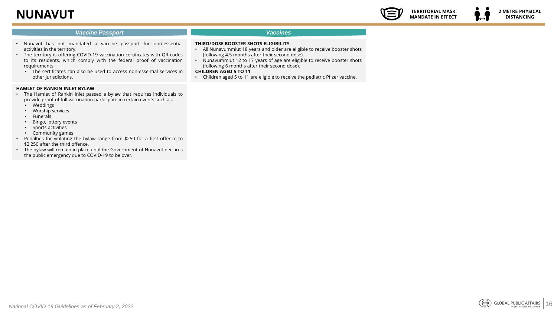# **NUNAVUT**

#### **2 METRE PHYSICAL DISTANCING**

**TERRITORIAL MASK MANDATE IN EFFECT**

#### *Vaccine Passport*

#### *Vaccines*

- Nunavut has not mandated a vaccine passport for non-essential activities in the territory.
- The territory is offering COVID-19 vaccination certificates with QR codes to its residents, which comply with the federal proof of vaccination requirements.
	- The certificates can also be used to access non-essential services in other jurisdictions.

#### **HAMLET OF RANKIN INLET BYLAW**

- The Hamlet of Rankin Inlet passed a bylaw that requires individuals to provide proof of full vaccination participate in certain events such as:
	- Weddings
	- Worship services
	- Funerals
	- Bingo, lottery events
	- Sports activities
	- Community games
- Penalties for violating the bylaw range from \$250 for a first offence to \$2,250 after the third offence.
- The bylaw will remain in place until the Government of Nunavut declares the public emergency due to COVID-19 to be over.
- **THIRD/DOSE BOOSTER SHOTS ELIGIBILITY**
- All Nunavummiut 18 years and older are eligible to receive booster shots (following 4.5 months after their second dose).
- Nunavummiut 12 to 17 years of age are eligible to receive booster shots (following 6 months after their second dose).
- **CHILDREN AGED 5 TO 11**
- Children aged 5 to 11 are eligible to receive the pediatric Pfizer vaccine.

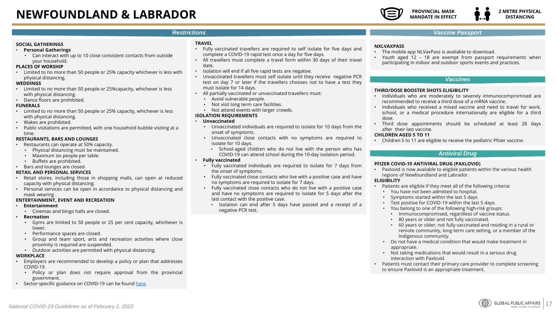### <span id="page-16-0"></span>**NEWFOUNDLAND & LABRADOR**



#### *Restrictions*

#### **SOCIAL GATHERINGS**

- **Personal Gatherings**
- Can interact with up to 10 close consistent contacts from outside your household.

#### **PLACES OF WORSHIP**

• Limited to no more than 50 people or 25% capacity whichever is less with physical distancing.

#### **WEDDINGS**

- Limited to no more than 50 people or 25%capacity, whichever is less with physical distancing.
- Dance floors are prohibited.

#### **FUNERALS**

- Limited to no more than 50 people or 25% capacity, whichever is less with physical distancing.
- Wakes are prohibited.
- Public visitations are permitted, with one household bubble visiting at a time.

#### **RESTAURANTS, BARS AND LOUNGES**

- Restaurants can operate at 50% capacity.
	- Physical distancing must be maintained.
	- Maximum six people per table.
	- Buffets are prohibited.
- Bars and lounges are closed.

#### **RETAIL AND PERSONAL SERVICES**

- Retail stores, including those in shopping malls, can open at reduced capacity with physical distancing.
- Personal services can be open in accordance to physical distancing and mask wearing .

#### **ENTERTAINMENT, EVENT AND RECREATION**

- **Entertainment**
	- Cinemas and bingo halls are closed.
- **Recreation**
	- Gyms are limited to 50 people or 25 per cent capacity, whichever is lower.
	- Performance spaces are closed.
	- Group and team sport, arts and recreation activities where close proximity is required are suspended.
	- Outdoor activities are permitted with physical distancing.

#### **WORKPLACE**

- Employers are recommended to develop a policy or plan that addresses COVID-19.
	- Policy or plan does not require approval from the provincial government.
- Sector-specific guidance on COVID-19 can be found [here](https://www.gov.nl.ca/covid-19/employers/businesses/sector-specific-guidance/).

#### **TRAVEL**

- Fully vaccinated travellers are required to self isolate for five days and complete a COVID-19 rapid test once a day for five days.
- All travellers must complete a travel form within 30 days of their travel date.
- Isolation will end if all five rapid tests are negative.
- Unvaccinated travellers must self isolate until they receive negative PCR test on day 7 or later if the travellers chooses not to have a test they must isolate for 14 days.
- All partially vaccinated or unvaccinated travellers must:
	- Avoid vulnerable people.
	- Not visit long term care facilities.
	- Not attend events with larger crowds.

#### **ISOLATION REQUIREMENTS**

- **Unvaccinated**
	- Unvaccinated individuals are required to isolate for 10 days from the onset of symptoms.
	- Unvaccinated close contacts with no symptoms are required to isolate for 10 days.
		- School-aged children who do not live with the person who has COVID-19 can attend school during the 10-day isolation period.

#### • **Fully vaccinated**

- Fully vaccinated individuals are required to isolate for 7 days from the onset of symptoms.
- Fully vaccinated close contacts who live with a positive case and have no symptoms are required to isolate for 7 days.
- Fully vaccinated close contacts who do not live with a positive case and have no symptoms are required to isolate for 5 days after the last contact with the positive case.
	- Isolation can end after 5 days have passed and a receipt of a negative PCR test.

#### *Vaccine Passport*

#### **NXLVAXPASS**

- The mobile app NLVaxPass is available to download.
- Youth aged 12 18 are exempt from passport requirements when participating in indoor and outdoor sports events and practices.

#### *Vaccines*

#### **THIRD/DOSE BOOSTER SHOTS ELIGIBILITY**

- Individuals who are moderately to severely immunocompromised are recommended to receive a third dose of a mRNA vaccine.
- Individuals who received a mixed vaccine and need to travel for work, school, or a medical procedure internationally are eligible for a third dose.
- Third dose appointments should be scheduled at least 28 days after their last vaccine.

#### **CHILDREN AGED 5 TO 11**

• Children 5 to 11 are eligible to receive the pediatric Pfizer vaccine.

#### *Antiviral Drug*

#### **PFIZER COVID-19 ANTIVIRAL DRUG (PAXLOVID)**

• Paxlovid is now available to eligible patients within the various health regions of Newfoundland and Labrador.

#### **ELIGIBILITY**

- Patients are eligible if they meet all of the following criteria:
	- You have not been admitted to hospital.
	- Symptoms started within the last 5 days.
	- Test positive for COVID-19 within the last 5 days.
	- You belong to one of the following high-risk groups:
		- Immunocompromised, regardless of vaccine status.
		- 80 years or older and not fully vaccinated.
		- 60 years or older, not fully vaccinated and residing in a rural or remote community, long-term care setting, or a member of the Indigenous community.
	- Do not have a medical condition that would make treatment in appropriate.
	- Not taking medications that would result in a serious drug interaction with Paxlovid.
- Patients must contact their primary care provider to complete screening to ensure Paxlovid is an appropriate treatment.

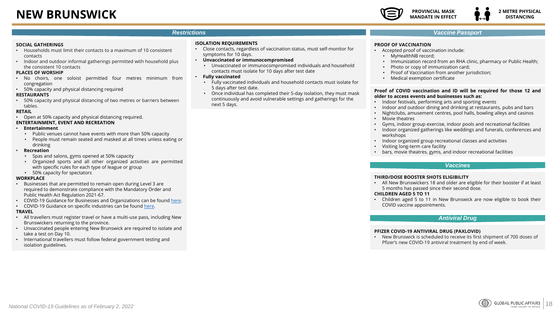# **NEW BRUNSWICK**



#### *Restrictions*

#### **SOCIAL GATHERINGS**

- Households must limit their contacts to a maximum of 10 consistent contacts
- Indoor and outdoor informal gatherings permitted with household plus the consistent 10 contacts

#### **PLACES OF WORSHIP**

- No choirs, one soloist permitted four metres minimum from congregation
- 50% capacity and physical distancing required

#### **RESTAURANTS**

• 50% capacity and physical distancing of two metres or barriers between tables.

#### **RETAIL**

• Open at 50% capacity and physical distancing required.

#### **ENTERTAINMENT, EVENT AND RECREATION**

#### • **Entertainment**

- Public venues cannot have events with more than 50% capacity
- People must remain seated and masked at all times unless eating or drinking

#### • **Recreation**

- Spas and salons, gyms opened at 50% capacity
- Organized sports and all other organized activities are permitted with specific rules for each type of league or group
- 50% capacity for spectators

#### **WORKPLACE**

- Businesses that are permitted to remain open during Level 3 are required to demonstrate compliance with the Mandatory Order and Public Health Act Regulation 2021-67.
- COVID-19 Guidance for Businesses and Organizations can be found [here](https://www2.gnb.ca/content/dam/gnb/Departments/eco-bce/Promo/covid-19/GuidelinesforRetail2022.pdf).
- COVID-19 Guidance on specific industries can be found [here.](https://www2.gnb.ca/content/gnb/en/corporate/promo/covid-19/guidance.html#7)

#### **TRAVEL**

- All travellers must register travel or have a multi-use pass, including New Brunswickers returning to the province.
- Unvaccinated people entering New Brunswick are required to isolate and take a test on Day 10.
- International travellers must follow federal government testing and isolation guidelines.

#### **ISOLATION REQUIREMENTS**

- Close contacts, regardless of vaccination status, must self-monitor for symptoms for 10 days.
- **Unvaccinated or immunocompromised**
	- Unvaccinated or immunocompromised individuals and household contacts must isolate for 10 days after test date
- **Fully vaccinated**
	- Fully vaccinated individuals and household contacts must isolate for 5 days after test date.
	- Once individual has completed their 5-day isolation, they must mask continuously and avoid vulnerable settings and gatherings for the next 5 days.

#### *Vaccine Passport*

#### **PROOF OF VACCINATION**

- Accepted proof of vaccination include:
	- MyHealthNB record;
	- Immunization record from an RHA clinic, pharmacy or Public Health;
	- Photo or copy of immunization card;
	- Proof of Vaccination from another jurisdiction;
	- Medical exemption certificate

#### **Proof of COVID vaccination and ID will be required for those 12 and older to access events and businesses such as:**

- Indoor festivals, performing arts and sporting events
- Indoor and outdoor dining and drinking at restaurants, pubs and bars
- Nightclubs, amusement centres, pool halls, bowling alleys and casinos
- Movie theatres
- Gyms, indoor group exercise, indoor pools and recreational facilities
- Indoor organized gatherings like weddings and funerals, conferences and workshops
- Indoor organized group recreational classes and activities
- Visiting long-term care facility
- bars, movie theatres, gyms, and indoor recreational facilities

#### *Vaccines*

#### **THIRD/DOSE BOOSTER SHOTS ELIGIBILITY**

• All New Brunswickers 18 and older are eligible for their booster if at least 5 months has passed since their second dose.

#### **CHILDREN AGED 5 TO 11**

• Children aged 5 to 11 in New Brunswick are now eligible to book their COVID vaccine appointments.

#### *Antiviral Drug*

#### **PFIZER COVID-19 ANTIVIRAL DRUG (PAXLOVID)**

• New Brunswick is scheduled to receive its first shipment of 700 doses of Pfizer's new COVID-19 antiviral treatment by end of week.

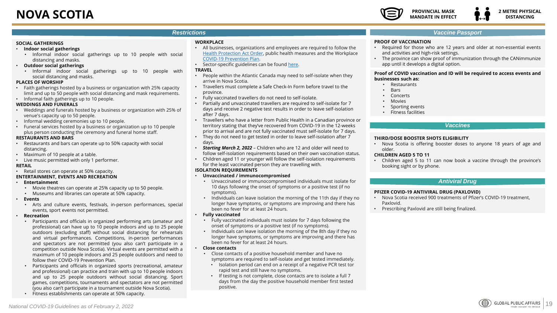# <span id="page-18-0"></span>**NOVA SCOTIA**



#### *Restrictions*

#### **SOCIAL GATHERINGS**

- **Indoor social gatherings**
	- Informal indoor social gatherings up to 10 people with social distancing and masks.
- **Outdoor social gatherings**
	- Informal indoor social gatherings up to 10 people with social distancing and masks.

#### **PLACES OF WORSHIP**

- Faith gatherings hosted by a business or organization with 25% capacity limit and up to 50 people with social distancing and mask requirements.
- Informal faith gatherings up to 10 people.

#### **WEDDINGS AND FUNERALS**

- Weddings and funerals hosted by a business or organization with 25% of venue's capacity up to 50 people.
- Informal wedding ceremonies up to 10 people.
- Funeral services hosted by a business or organization up to 10 people plus person conducting the ceremony and funeral home staff.

#### **RESTAURANTS AND BARS**

- Restaurants and bars can operate up to 50% capacity with social distancing.
- Maximum of 10 people at a table.
- Live music permitted with only 1 performer.

#### **RETAIL**

• Retail stores can operate at 50% capacity.

#### **ENTERTAINMENT, EVENTS AND RECREATION**

- **Entertainment**
	- Movie theatres can operate at 25% capacity up to 50 people.
	- Museums and libraries can operate at 50% capacity.
- **Events**
	- Arts and culture events, festivals, in-person performances, special events, sport events not permitted.

#### • **Recreation**

- Participants and officials in organized performing arts (amateur and professional) can have up to 10 people indoors and up to 25 people outdoors (excluding staff) without social distancing for rehearsals and virtual performances. Competitions, in-person performances and spectators are not permitted (you also can't participate in a competition outside Nova Scotia). Virtual events are permitted with a maximum of 10 people indoors and 25 people outdoors and need to follow their COVID-19 Prevention Plan.
- Participants and officials in organized sports (recreational, amateur and professional) can practice and train with up to 10 people indoors and up to 25 people outdoors without social distancing. Sport games, competitions, tournaments and spectators are not permitted (you also can't participate in a tournament outside Nova Scotia).
- Fitness establishments can operate at 50% capacity.

#### **WORKPLACE**

- All businesses, organizations and employees are required to follow the [Health Protection Act Order](https://novascotia.ca/coronavirus/alerts-notices/#health-protection-act-order), public health measures and the Workplace [COVID-19 Prevention Plan.](https://novascotia.ca/coronavirus/restrictions-and-guidance/#business-restrictions)
- Sector-specific guidelines can be found [here.](https://novascotia.ca/coronavirus/resources/)

#### **TRAVEL**

- People within the Atlantic Canada may need to self-isolate when they arrive in Nova Scotia.
- Travellers must complete a Safe Check-In Form before travel to the province.
- Fully vaccinated travellers do not need to self-isolate.
- Partially and unvaccinated travellers are required to self-isolate for 7 days and receive 2 negative test results in order to leave self-isolation after 7 days.
- Travellers who have a letter from Public Health in a Canadian province or territory stating that they've recovered from COVID-19 in the 12-weeks prior to arrival and are not fully vaccinated must self-isolate for 7 days.
- They do not need to get tested in order to leave self-isolation after 7 days.
- *Starting March 2, 2022*  Children who are 12 and older will need to follow self-isolation requirements based on their own vaccination status.
- Children aged 11 or younger will follow the self-isolation requirements for the least vaccinated person they are travelling with.

#### **ISOLATION REQUIREMENTS**

- **Unvaccinated / immunocompromised**
	- Unvaccinated or immunocompromised individuals must isolate for 10 days following the onset of symptoms or a positive test (if no symptoms).
	- Individuals can leave isolation the morning of the 11th day if they no longer have symptoms, or symptoms are improving and there has been no fever for at least 24 hours.

#### • **Fully vaccinated**

- Fully vaccinated individuals must isolate for 7 days following the onset of symptoms or a positive test (if no symptoms).
- Individuals can leave isolation the morning of the 8th day if they no longer have symptoms, or symptoms are improving and there has been no fever for at least 24 hours.
- **Close contacts**
	- Close contacts of a positive household member and have no symptoms are required to self-isolate and get tested immediately.
		- Isolation period can end on a receipt of a negative PCR test tor rapid test and still have no symptoms.
		- If testing is not complete, close contacts are to isolate a full 7 days from the day the positive household member first tested positive.

#### *Vaccine Passport*

#### **PROOF OF VACCINATION**

- Required for those who are 12 years and older at non-essential events and activities and high-risk settings.
- The province can show proof of immunization through the CANimmunize app until it develops a digital option.

#### **Proof of COVID vaccination and ID will be required to access events and businesses such as:**

- **Restaurants**
- Bars
- **Concerts**
- **Movies**
- Sporting events
- Fitness facilities

#### *Vaccines*

#### **THIRD/DOSE BOOSTER SHOTS ELIGIBILITY**

• Nova Scotia is offering booster doses to anyone 18 years of age and older.

#### **CHILDREN AGED 5 TO 11**

• Children aged 5 to 11 can now book a vaccine through the province's booking sight or by phone.

#### *Antiviral Drug*

#### **PFIZER COVID-19 ANTIVIRAL DRUG (PAXLOVID)**

- Nova Scotia received 900 treatments of Pfizer's COVID-19 treatment, Paxlovid.
- Prescribing Paxlovid are still being finalized.